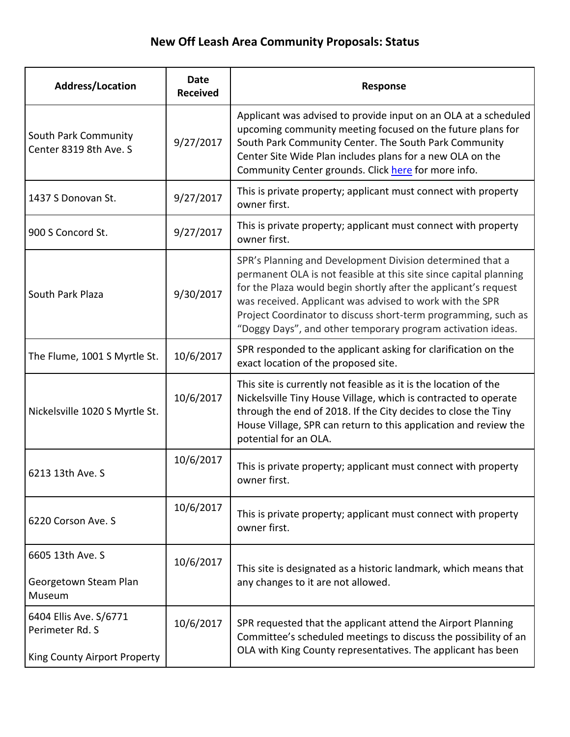## **New Off Leash Area Community Proposals: Status**

| <b>Address/Location</b>                                                   | <b>Date</b><br><b>Received</b> | Response                                                                                                                                                                                                                                                                                                                                                                                       |
|---------------------------------------------------------------------------|--------------------------------|------------------------------------------------------------------------------------------------------------------------------------------------------------------------------------------------------------------------------------------------------------------------------------------------------------------------------------------------------------------------------------------------|
| South Park Community<br>Center 8319 8th Ave. S                            | 9/27/2017                      | Applicant was advised to provide input on an OLA at a scheduled<br>upcoming community meeting focused on the future plans for<br>South Park Community Center. The South Park Community<br>Center Site Wide Plan includes plans for a new OLA on the<br>Community Center grounds. Click here for more info.                                                                                     |
| 1437 S Donovan St.                                                        | 9/27/2017                      | This is private property; applicant must connect with property<br>owner first.                                                                                                                                                                                                                                                                                                                 |
| 900 S Concord St.                                                         | 9/27/2017                      | This is private property; applicant must connect with property<br>owner first.                                                                                                                                                                                                                                                                                                                 |
| South Park Plaza                                                          | 9/30/2017                      | SPR's Planning and Development Division determined that a<br>permanent OLA is not feasible at this site since capital planning<br>for the Plaza would begin shortly after the applicant's request<br>was received. Applicant was advised to work with the SPR<br>Project Coordinator to discuss short-term programming, such as<br>"Doggy Days", and other temporary program activation ideas. |
| The Flume, 1001 S Myrtle St.                                              | 10/6/2017                      | SPR responded to the applicant asking for clarification on the<br>exact location of the proposed site.                                                                                                                                                                                                                                                                                         |
| Nickelsville 1020 S Myrtle St.                                            | 10/6/2017                      | This site is currently not feasible as it is the location of the<br>Nickelsville Tiny House Village, which is contracted to operate<br>through the end of 2018. If the City decides to close the Tiny<br>House Village, SPR can return to this application and review the<br>potential for an OLA.                                                                                             |
| 6213 13th Ave. S                                                          | 10/6/2017                      | This is private property; applicant must connect with property<br>owner first.                                                                                                                                                                                                                                                                                                                 |
| 6220 Corson Ave. S                                                        | 10/6/2017                      | This is private property; applicant must connect with property<br>owner first.                                                                                                                                                                                                                                                                                                                 |
| 6605 13th Ave. S<br>Georgetown Steam Plan<br>Museum                       | 10/6/2017                      | This site is designated as a historic landmark, which means that<br>any changes to it are not allowed.                                                                                                                                                                                                                                                                                         |
| 6404 Ellis Ave. S/6771<br>Perimeter Rd. S<br>King County Airport Property | 10/6/2017                      | SPR requested that the applicant attend the Airport Planning<br>Committee's scheduled meetings to discuss the possibility of an<br>OLA with King County representatives. The applicant has been                                                                                                                                                                                                |